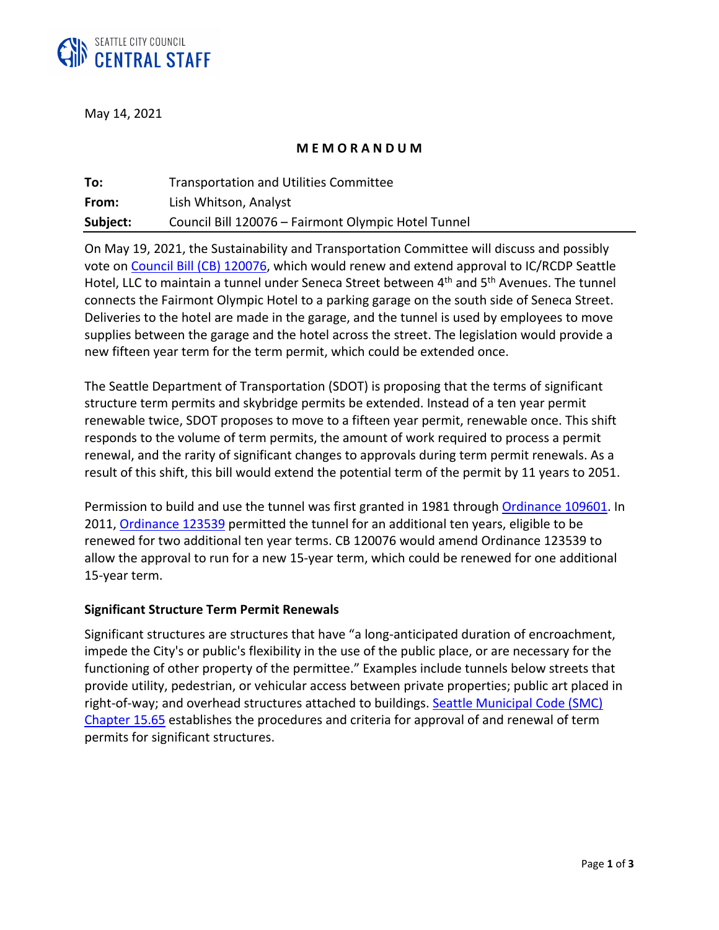

May 14, 2021

#### **M E M O R A N D U M**

| To:      | <b>Transportation and Utilities Committee</b>       |
|----------|-----------------------------------------------------|
| From:    | Lish Whitson, Analyst                               |
| Subject: | Council Bill 120076 - Fairmont Olympic Hotel Tunnel |

On May 19, 2021, the Sustainability and Transportation Committee will discuss and possibly vote on [Council Bill \(CB\) 120076,](http://seattle.legistar.com/gateway.aspx?m=l&id=/matter.aspx?key=11492) which would renew and extend approval to IC/RCDP Seattle Hotel, LLC to maintain a tunnel under Seneca Street between 4<sup>th</sup> and 5<sup>th</sup> Avenues. The tunnel connects the Fairmont Olympic Hotel to a parking garage on the south side of Seneca Street. Deliveries to the hotel are made in the garage, and the tunnel is used by employees to move supplies between the garage and the hotel across the street. The legislation would provide a new fifteen year term for the term permit, which could be extended once.

The Seattle Department of Transportation (SDOT) is proposing that the terms of significant structure term permits and skybridge permits be extended. Instead of a ten year permit renewable twice, SDOT proposes to move to a fifteen year permit, renewable once. This shift responds to the volume of term permits, the amount of work required to process a permit renewal, and the rarity of significant changes to approvals during term permit renewals. As a result of this shift, this bill would extend the potential term of the permit by 11 years to 2051.

Permission to build and use the tunnel was first granted in 1981 through [Ordinance 109601.](http://clerk.seattle.gov/search/results?s5=&s1=hotel+and+tunnel&s7=&s6=&s2=&s8=&Sect4=AND&l=200&Sect2=THESON&Sect3=PLURON&Sect5=CBORY&Sect6=HITOFF&d=ORDF&p=1&u=%2Fsearch%2Fordinances%2F&r=3&f=G) In 2011, [Ordinance 123539](http://clerk.seattle.gov/search/results?s5=&s1=hotel+and+tunnel&s7=&s6=&s2=&s8=&Sect4=AND&l=200&Sect2=THESON&Sect3=PLURON&Sect5=CBORY&Sect6=HITOFF&d=ORDF&p=1&u=%2Fsearch%2Fordinances%2F&r=1&f=G) permitted the tunnel for an additional ten years, eligible to be renewed for two additional ten year terms. CB 120076 would amend Ordinance 123539 to allow the approval to run for a new 15-year term, which could be renewed for one additional 15-year term.

#### **Significant Structure Term Permit Renewals**

Significant structures are structures that have "a long-anticipated duration of encroachment, impede the City's or public's flexibility in the use of the public place, or are necessary for the functioning of other property of the permittee." Examples include tunnels below streets that provide utility, pedestrian, or vehicular access between private properties; public art placed in right-of-way; and overhead structures attached to buildings. [Seattle Municipal Code \(SMC\)](https://library.municode.com/wa/seattle/codes/municipal_code?nodeId=TIT15STSIUS_SUBTITLE_IIMISTUSRE_CH15.65SISTTEPE_15.65.080COIMGRSISTTEPE) [Chapter 15.65](https://library.municode.com/wa/seattle/codes/municipal_code?nodeId=TIT15STSIUS_SUBTITLE_IIMISTUSRE_CH15.65SISTTEPE_15.65.080COIMGRSISTTEPE) establishes the procedures and criteria for approval of and renewal of term permits for significant structures.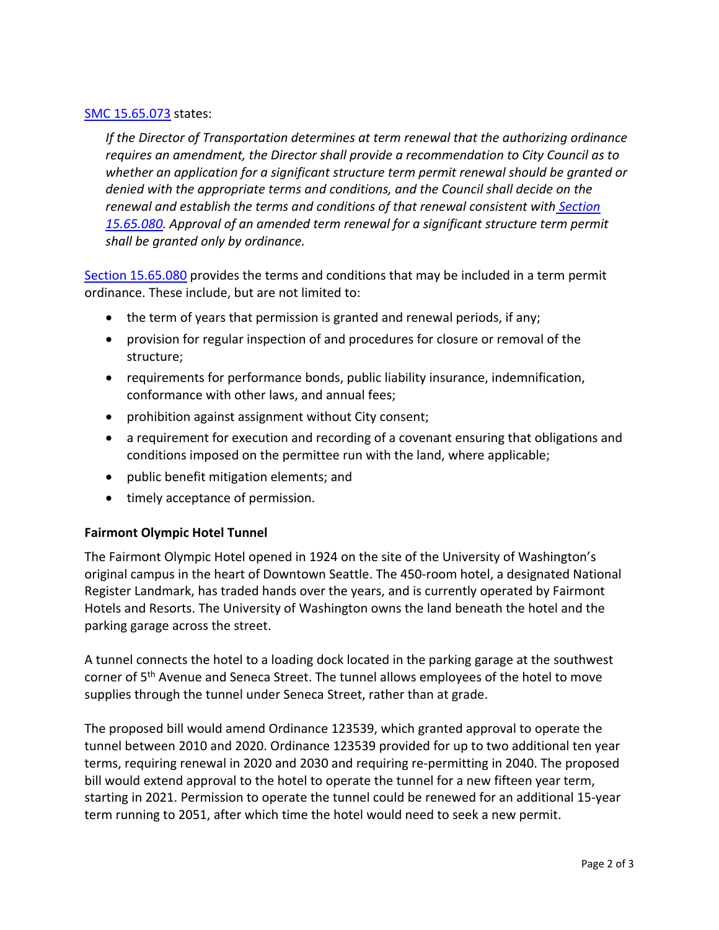### [SMC 15.65.073](https://library.municode.com/wa/seattle/codes/municipal_code?nodeId=TIT15STSIUS_SUBTITLE_IIMISTUSRE_CH15.65SISTTEPE_15.65.073SISTTEPEREAM) states:

*If the Director of Transportation determines at term renewal that the authorizing ordinance requires an amendment, the Director shall provide a recommendation to City Council as to whether an application for a significant structure term permit renewal should be granted or denied with the appropriate terms and conditions, and the Council shall decide on the renewal and establish the terms and conditions of that renewal consistent with [Section](https://library.municode.com/wa/seattle/codes/municipal_code?nodeId=TIT15STSIUS_SUBTITLE_IIMISTUSRE_CH15.65SISTTEPE_15.65.080COIMGRSISTTEPE)  [15.65.080.](https://library.municode.com/wa/seattle/codes/municipal_code?nodeId=TIT15STSIUS_SUBTITLE_IIMISTUSRE_CH15.65SISTTEPE_15.65.080COIMGRSISTTEPE) Approval of an amended term renewal for a significant structure term permit shall be granted only by ordinance.*

[Section 15.65.080](https://library.municode.com/wa/seattle/codes/municipal_code?nodeId=TIT15STSIUS_SUBTITLE_IIMISTUSRE_CH15.65SISTTEPE_15.65.080COIMGRSISTTEPE) provides the terms and conditions that may be included in a term permit ordinance. These include, but are not limited to:

- the term of years that permission is granted and renewal periods, if any;
- provision for regular inspection of and procedures for closure or removal of the structure;
- requirements for performance bonds, public liability insurance, indemnification, conformance with other laws, and annual fees;
- prohibition against assignment without City consent;
- a requirement for execution and recording of a covenant ensuring that obligations and conditions imposed on the permittee run with the land, where applicable;
- public benefit mitigation elements; and
- timely acceptance of permission.

## **Fairmont Olympic Hotel Tunnel**

The Fairmont Olympic Hotel opened in 1924 on the site of the University of Washington's original campus in the heart of Downtown Seattle. The 450-room hotel, a designated National Register Landmark, has traded hands over the years, and is currently operated by Fairmont Hotels and Resorts. The University of Washington owns the land beneath the hotel and the parking garage across the street.

A tunnel connects the hotel to a loading dock located in the parking garage at the southwest corner of 5<sup>th</sup> Avenue and Seneca Street. The tunnel allows employees of the hotel to move supplies through the tunnel under Seneca Street, rather than at grade.

The proposed bill would amend Ordinance 123539, which granted approval to operate the tunnel between 2010 and 2020. Ordinance 123539 provided for up to two additional ten year terms, requiring renewal in 2020 and 2030 and requiring re-permitting in 2040. The proposed bill would extend approval to the hotel to operate the tunnel for a new fifteen year term, starting in 2021. Permission to operate the tunnel could be renewed for an additional 15-year term running to 2051, after which time the hotel would need to seek a new permit.